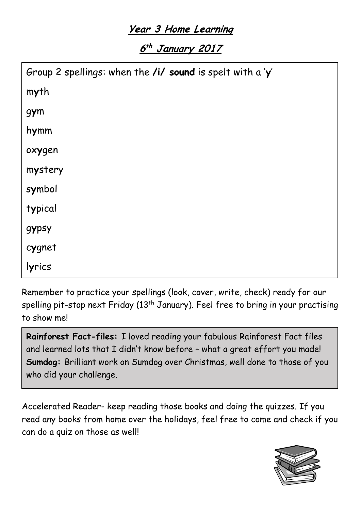## **Year 3 Home Learning**

**6 th January <sup>2017</sup>**

Remember to practice your spellings (look, cover, write, check) ready for our spelling pit-stop next Friday (13<sup>th</sup> January). Feel free to bring in your practising to show me!

**Rainforest Fact-files:** I loved reading your fabulous Rainforest Fact files and learned lots that I didn't know before – what a great effort you made! **Sumdog:** Brilliant work on Sumdog over Christmas, well done to those of you who did your challenge.

Accelerated Reader- keep reading those books and doing the quizzes. If you read any books from home over the holidays, feel free to come and check if you can do a quiz on those as well!